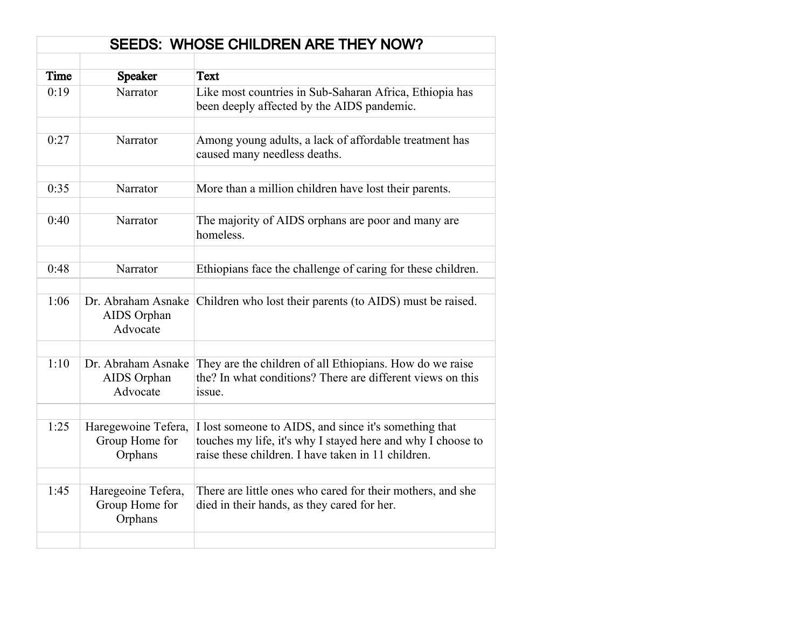| <b>SEEDS: WHOSE CHILDREN ARE THEY NOW?</b> |                                                  |                                                                                                                                                                            |
|--------------------------------------------|--------------------------------------------------|----------------------------------------------------------------------------------------------------------------------------------------------------------------------------|
|                                            |                                                  |                                                                                                                                                                            |
| Time                                       | <b>Speaker</b>                                   | <b>Text</b>                                                                                                                                                                |
| 0:19                                       | Narrator                                         | Like most countries in Sub-Saharan Africa, Ethiopia has<br>been deeply affected by the AIDS pandemic.                                                                      |
|                                            |                                                  |                                                                                                                                                                            |
| 0:27                                       | Narrator                                         | Among young adults, a lack of affordable treatment has<br>caused many needless deaths.                                                                                     |
|                                            |                                                  |                                                                                                                                                                            |
| 0:35                                       | Narrator                                         | More than a million children have lost their parents.                                                                                                                      |
|                                            |                                                  |                                                                                                                                                                            |
| 0:40                                       | Narrator                                         | The majority of AIDS orphans are poor and many are<br>homeless.                                                                                                            |
|                                            |                                                  |                                                                                                                                                                            |
| 0:48                                       | Narrator                                         | Ethiopians face the challenge of caring for these children.                                                                                                                |
|                                            |                                                  |                                                                                                                                                                            |
| 1:06                                       | Dr. Abraham Asnake<br>AIDS Orphan<br>Advocate    | Children who lost their parents (to AIDS) must be raised.                                                                                                                  |
|                                            |                                                  |                                                                                                                                                                            |
| 1:10                                       | Dr. Abraham Asnake<br>AIDS Orphan<br>Advocate    | They are the children of all Ethiopians. How do we raise<br>the? In what conditions? There are different views on this<br>issue.                                           |
|                                            |                                                  |                                                                                                                                                                            |
| 1:25                                       | Haregewoine Tefera,<br>Group Home for<br>Orphans | I lost someone to AIDS, and since it's something that<br>touches my life, it's why I stayed here and why I choose to<br>raise these children. I have taken in 11 children. |
|                                            |                                                  |                                                                                                                                                                            |
| 1:45                                       | Haregeoine Tefera,<br>Group Home for<br>Orphans  | There are little ones who cared for their mothers, and she<br>died in their hands, as they cared for her.                                                                  |
|                                            |                                                  |                                                                                                                                                                            |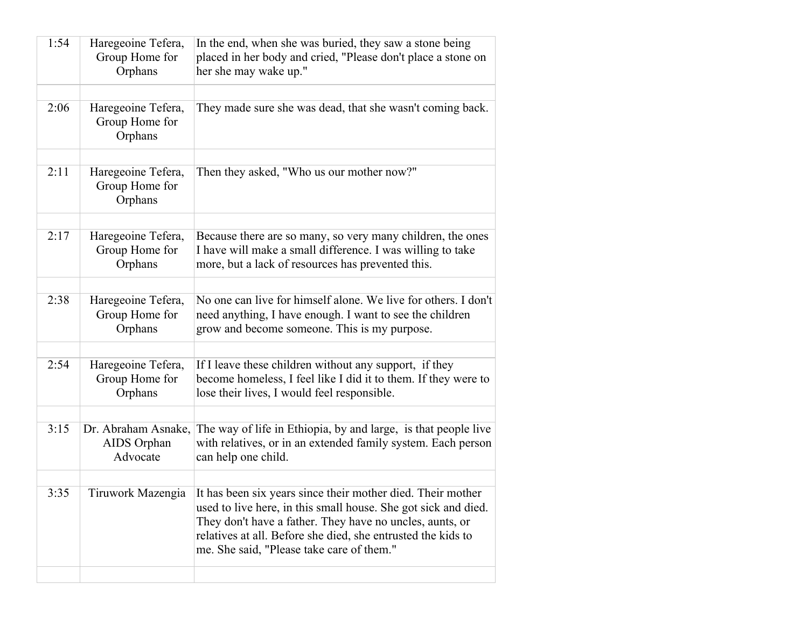| 1:54 | Haregeoine Tefera,<br>Group Home for<br>Orphans | In the end, when she was buried, they saw a stone being<br>placed in her body and cried, "Please don't place a stone on<br>her she may wake up."                                                                                                                                                                           |
|------|-------------------------------------------------|----------------------------------------------------------------------------------------------------------------------------------------------------------------------------------------------------------------------------------------------------------------------------------------------------------------------------|
|      |                                                 |                                                                                                                                                                                                                                                                                                                            |
| 2:06 | Haregeoine Tefera,<br>Group Home for<br>Orphans | They made sure she was dead, that she wasn't coming back.                                                                                                                                                                                                                                                                  |
|      |                                                 |                                                                                                                                                                                                                                                                                                                            |
| 2:11 | Haregeoine Tefera,<br>Group Home for<br>Orphans | Then they asked, "Who us our mother now?"                                                                                                                                                                                                                                                                                  |
|      |                                                 |                                                                                                                                                                                                                                                                                                                            |
| 2:17 | Haregeoine Tefera,<br>Group Home for<br>Orphans | Because there are so many, so very many children, the ones<br>I have will make a small difference. I was willing to take<br>more, but a lack of resources has prevented this.                                                                                                                                              |
|      |                                                 |                                                                                                                                                                                                                                                                                                                            |
| 2:38 | Haregeoine Tefera,<br>Group Home for<br>Orphans | No one can live for himself alone. We live for others. I don't<br>need anything, I have enough. I want to see the children<br>grow and become someone. This is my purpose.                                                                                                                                                 |
|      |                                                 |                                                                                                                                                                                                                                                                                                                            |
| 2:54 | Haregeoine Tefera,<br>Group Home for<br>Orphans | If I leave these children without any support, if they<br>become homeless, I feel like I did it to them. If they were to<br>lose their lives, I would feel responsible.                                                                                                                                                    |
|      |                                                 |                                                                                                                                                                                                                                                                                                                            |
| 3:15 | Dr. Abraham Asnake,<br>AIDS Orphan<br>Advocate  | The way of life in Ethiopia, by and large, is that people live<br>with relatives, or in an extended family system. Each person<br>can help one child.                                                                                                                                                                      |
|      |                                                 |                                                                                                                                                                                                                                                                                                                            |
| 3:35 |                                                 | Tiruwork Mazengia   It has been six years since their mother died. Their mother<br>used to live here, in this small house. She got sick and died.<br>They don't have a father. They have no uncles, aunts, or<br>relatives at all. Before she died, she entrusted the kids to<br>me. She said, "Please take care of them." |
|      |                                                 |                                                                                                                                                                                                                                                                                                                            |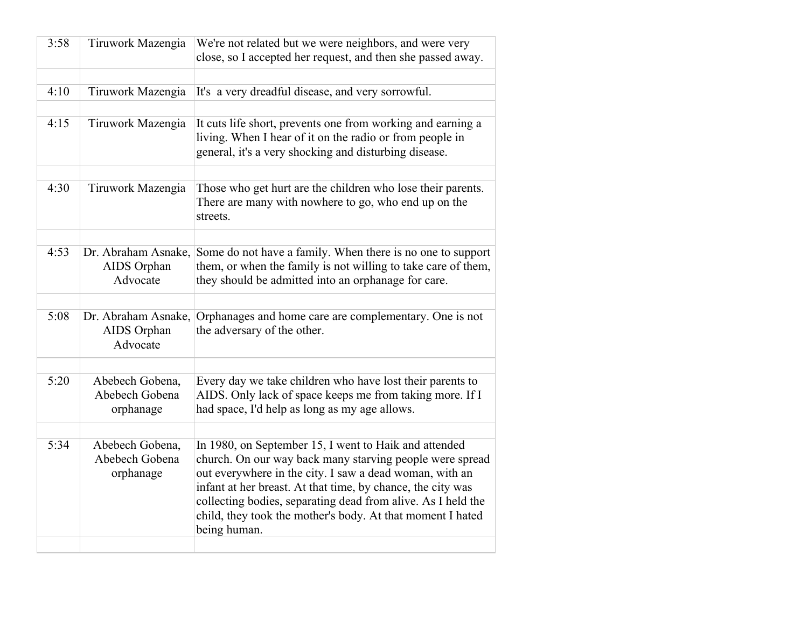| 3:58 | Tiruwork Mazengia                              | We're not related but we were neighbors, and were very<br>close, so I accepted her request, and then she passed away.                                                                                                                                                                                                                                                                     |
|------|------------------------------------------------|-------------------------------------------------------------------------------------------------------------------------------------------------------------------------------------------------------------------------------------------------------------------------------------------------------------------------------------------------------------------------------------------|
|      |                                                |                                                                                                                                                                                                                                                                                                                                                                                           |
| 4:10 | Tiruwork Mazengia                              | It's a very dreadful disease, and very sorrowful.                                                                                                                                                                                                                                                                                                                                         |
|      |                                                |                                                                                                                                                                                                                                                                                                                                                                                           |
| 4:15 | Tiruwork Mazengia                              | It cuts life short, prevents one from working and earning a<br>living. When I hear of it on the radio or from people in<br>general, it's a very shocking and disturbing disease.                                                                                                                                                                                                          |
|      |                                                |                                                                                                                                                                                                                                                                                                                                                                                           |
| 4:30 | Tiruwork Mazengia                              | Those who get hurt are the children who lose their parents.<br>There are many with nowhere to go, who end up on the<br>streets.                                                                                                                                                                                                                                                           |
|      |                                                |                                                                                                                                                                                                                                                                                                                                                                                           |
| 4:53 | Dr. Abraham Asnake,<br>AIDS Orphan<br>Advocate | Some do not have a family. When there is no one to support<br>them, or when the family is not willing to take care of them,<br>they should be admitted into an orphanage for care.                                                                                                                                                                                                        |
|      |                                                |                                                                                                                                                                                                                                                                                                                                                                                           |
| 5:08 | Dr. Abraham Asnake,<br>AIDS Orphan<br>Advocate | Orphanages and home care are complementary. One is not<br>the adversary of the other.                                                                                                                                                                                                                                                                                                     |
|      |                                                |                                                                                                                                                                                                                                                                                                                                                                                           |
| 5:20 | Abebech Gobena,<br>Abebech Gobena              | Every day we take children who have lost their parents to<br>AIDS. Only lack of space keeps me from taking more. If I                                                                                                                                                                                                                                                                     |
|      | orphanage                                      | had space, I'd help as long as my age allows.                                                                                                                                                                                                                                                                                                                                             |
|      |                                                |                                                                                                                                                                                                                                                                                                                                                                                           |
| 5:34 | Abebech Gobena,<br>Abebech Gobena<br>orphanage | In 1980, on September 15, I went to Haik and attended<br>church. On our way back many starving people were spread<br>out everywhere in the city. I saw a dead woman, with an<br>infant at her breast. At that time, by chance, the city was<br>collecting bodies, separating dead from alive. As I held the<br>child, they took the mother's body. At that moment I hated<br>being human. |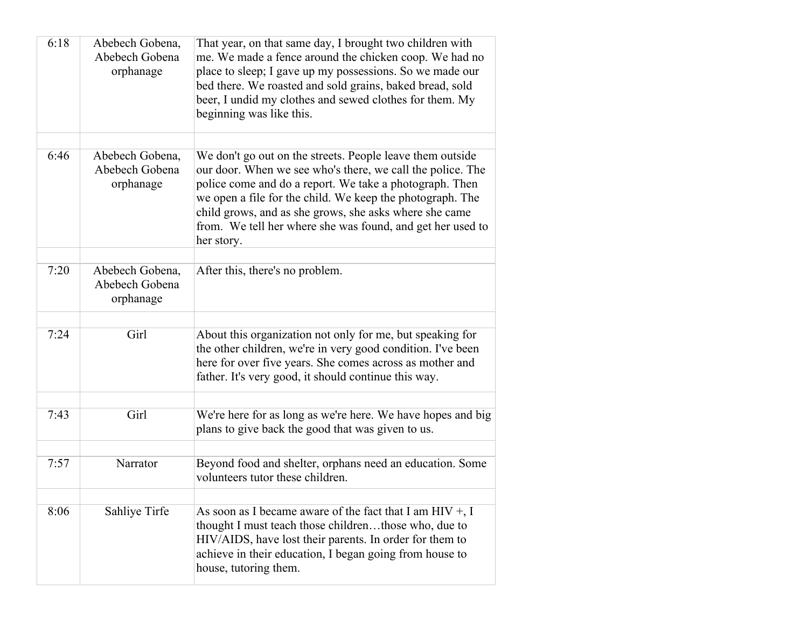| 6:18 | Abebech Gobena,<br>Abebech Gobena<br>orphanage | That year, on that same day, I brought two children with<br>me. We made a fence around the chicken coop. We had no<br>place to sleep; I gave up my possessions. So we made our<br>bed there. We roasted and sold grains, baked bread, sold<br>beer, I undid my clothes and sewed clothes for them. My<br>beginning was like this.                                                     |
|------|------------------------------------------------|---------------------------------------------------------------------------------------------------------------------------------------------------------------------------------------------------------------------------------------------------------------------------------------------------------------------------------------------------------------------------------------|
| 6:46 | Abebech Gobena,<br>Abebech Gobena<br>orphanage | We don't go out on the streets. People leave them outside<br>our door. When we see who's there, we call the police. The<br>police come and do a report. We take a photograph. Then<br>we open a file for the child. We keep the photograph. The<br>child grows, and as she grows, she asks where she came<br>from. We tell her where she was found, and get her used to<br>her story. |
| 7:20 | Abebech Gobena,<br>Abebech Gobena<br>orphanage | After this, there's no problem.                                                                                                                                                                                                                                                                                                                                                       |
| 7:24 | Girl                                           | About this organization not only for me, but speaking for<br>the other children, we're in very good condition. I've been<br>here for over five years. She comes across as mother and<br>father. It's very good, it should continue this way.                                                                                                                                          |
| 7:43 | Girl                                           | We're here for as long as we're here. We have hopes and big<br>plans to give back the good that was given to us.                                                                                                                                                                                                                                                                      |
| 7:57 | Narrator                                       | Beyond food and shelter, orphans need an education. Some<br>volunteers tutor these children.                                                                                                                                                                                                                                                                                          |
|      |                                                |                                                                                                                                                                                                                                                                                                                                                                                       |
| 8:06 | Sahliye Tirfe                                  | As soon as I became aware of the fact that I am $HIV + I$<br>thought I must teach those childrenthose who, due to<br>HIV/AIDS, have lost their parents. In order for them to<br>achieve in their education, I began going from house to<br>house, tutoring them.                                                                                                                      |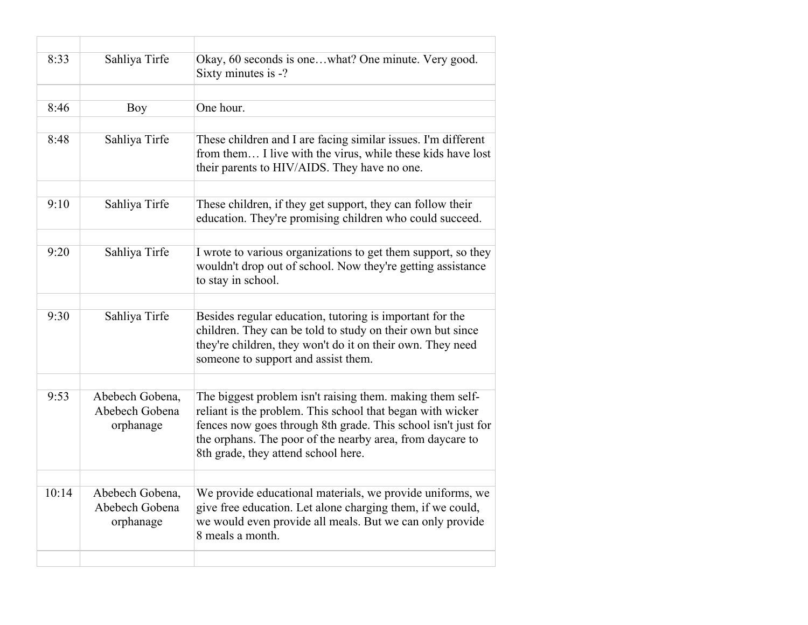| 8:33  | Sahliya Tirfe                                  | Okay, 60 seconds is onewhat? One minute. Very good.<br>Sixty minutes is -?                                                                                                                                                                                                                   |
|-------|------------------------------------------------|----------------------------------------------------------------------------------------------------------------------------------------------------------------------------------------------------------------------------------------------------------------------------------------------|
|       |                                                |                                                                                                                                                                                                                                                                                              |
| 8:46  | Boy                                            | One hour.                                                                                                                                                                                                                                                                                    |
|       |                                                |                                                                                                                                                                                                                                                                                              |
| 8:48  | Sahliya Tirfe                                  | These children and I are facing similar issues. I'm different<br>from them I live with the virus, while these kids have lost<br>their parents to HIV/AIDS. They have no one.                                                                                                                 |
|       |                                                |                                                                                                                                                                                                                                                                                              |
| 9:10  | Sahliya Tirfe                                  | These children, if they get support, they can follow their<br>education. They're promising children who could succeed.                                                                                                                                                                       |
|       |                                                |                                                                                                                                                                                                                                                                                              |
| 9:20  | Sahliya Tirfe                                  | I wrote to various organizations to get them support, so they<br>wouldn't drop out of school. Now they're getting assistance<br>to stay in school.                                                                                                                                           |
|       |                                                |                                                                                                                                                                                                                                                                                              |
| 9:30  | Sahliya Tirfe                                  | Besides regular education, tutoring is important for the<br>children. They can be told to study on their own but since<br>they're children, they won't do it on their own. They need<br>someone to support and assist them.                                                                  |
|       |                                                |                                                                                                                                                                                                                                                                                              |
| 9:53  | Abebech Gobena,<br>Abebech Gobena<br>orphanage | The biggest problem isn't raising them. making them self-<br>reliant is the problem. This school that began with wicker<br>fences now goes through 8th grade. This school isn't just for<br>the orphans. The poor of the nearby area, from daycare to<br>8th grade, they attend school here. |
|       |                                                |                                                                                                                                                                                                                                                                                              |
| 10:14 | Abebech Gobena,<br>Abebech Gobena<br>orphanage | We provide educational materials, we provide uniforms, we<br>give free education. Let alone charging them, if we could,<br>we would even provide all meals. But we can only provide<br>8 meals a month.                                                                                      |
|       |                                                |                                                                                                                                                                                                                                                                                              |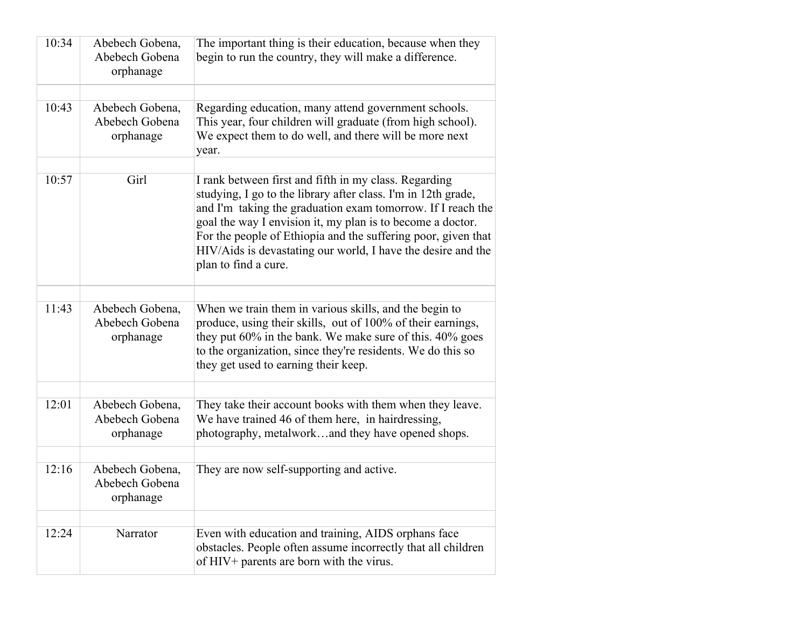| 10:34 | Abebech Gobena,<br>Abebech Gobena<br>orphanage | The important thing is their education, because when they<br>begin to run the country, they will make a difference.                                                                                                                                                                                                                                                                                          |
|-------|------------------------------------------------|--------------------------------------------------------------------------------------------------------------------------------------------------------------------------------------------------------------------------------------------------------------------------------------------------------------------------------------------------------------------------------------------------------------|
|       |                                                |                                                                                                                                                                                                                                                                                                                                                                                                              |
| 10:43 | Abebech Gobena,<br>Abebech Gobena<br>orphanage | Regarding education, many attend government schools.<br>This year, four children will graduate (from high school).<br>We expect them to do well, and there will be more next<br>year.                                                                                                                                                                                                                        |
|       |                                                |                                                                                                                                                                                                                                                                                                                                                                                                              |
| 10:57 | Girl                                           | I rank between first and fifth in my class. Regarding<br>studying, I go to the library after class. I'm in 12th grade,<br>and I'm taking the graduation exam tomorrow. If I reach the<br>goal the way I envision it, my plan is to become a doctor.<br>For the people of Ethiopia and the suffering poor, given that<br>HIV/Aids is devastating our world, I have the desire and the<br>plan to find a cure. |
|       |                                                |                                                                                                                                                                                                                                                                                                                                                                                                              |
| 11:43 | Abebech Gobena,<br>Abebech Gobena<br>orphanage | When we train them in various skills, and the begin to<br>produce, using their skills, out of 100% of their earnings,<br>they put $60\%$ in the bank. We make sure of this. $40\%$ goes<br>to the organization, since they're residents. We do this so<br>they get used to earning their keep.                                                                                                               |
|       |                                                |                                                                                                                                                                                                                                                                                                                                                                                                              |
| 12:01 | Abebech Gobena,<br>Abebech Gobena<br>orphanage | They take their account books with them when they leave.<br>We have trained 46 of them here, in hairdressing,<br>photography, metalworkand they have opened shops.                                                                                                                                                                                                                                           |
|       |                                                |                                                                                                                                                                                                                                                                                                                                                                                                              |
| 12:16 | Abebech Gobena,<br>Abebech Gobena<br>orphanage | They are now self-supporting and active.                                                                                                                                                                                                                                                                                                                                                                     |
|       |                                                |                                                                                                                                                                                                                                                                                                                                                                                                              |
| 12:24 | Narrator                                       | Even with education and training, AIDS orphans face<br>obstacles. People often assume incorrectly that all children<br>of HIV+ parents are born with the virus.                                                                                                                                                                                                                                              |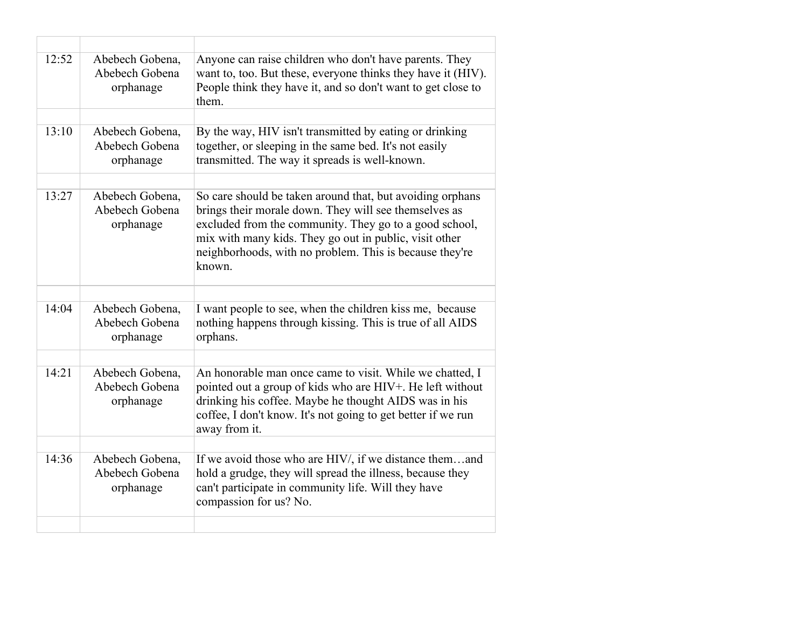| 12:52 | Abebech Gobena,<br>Abebech Gobena<br>orphanage | Anyone can raise children who don't have parents. They<br>want to, too. But these, everyone thinks they have it (HIV).<br>People think they have it, and so don't want to get close to<br>them.                                                                                                             |
|-------|------------------------------------------------|-------------------------------------------------------------------------------------------------------------------------------------------------------------------------------------------------------------------------------------------------------------------------------------------------------------|
|       |                                                |                                                                                                                                                                                                                                                                                                             |
| 13:10 | Abebech Gobena,<br>Abebech Gobena<br>orphanage | By the way, HIV isn't transmitted by eating or drinking<br>together, or sleeping in the same bed. It's not easily<br>transmitted. The way it spreads is well-known.                                                                                                                                         |
|       |                                                |                                                                                                                                                                                                                                                                                                             |
| 13:27 | Abebech Gobena,<br>Abebech Gobena<br>orphanage | So care should be taken around that, but avoiding orphans<br>brings their morale down. They will see themselves as<br>excluded from the community. They go to a good school,<br>mix with many kids. They go out in public, visit other<br>neighborhoods, with no problem. This is because they're<br>known. |
|       |                                                |                                                                                                                                                                                                                                                                                                             |
|       |                                                |                                                                                                                                                                                                                                                                                                             |
| 14:04 | Abebech Gobena,<br>Abebech Gobena<br>orphanage | I want people to see, when the children kiss me, because<br>nothing happens through kissing. This is true of all AIDS<br>orphans.                                                                                                                                                                           |
|       |                                                |                                                                                                                                                                                                                                                                                                             |
| 14:21 | Abebech Gobena,<br>Abebech Gobena<br>orphanage | An honorable man once came to visit. While we chatted, I<br>pointed out a group of kids who are HIV+. He left without<br>drinking his coffee. Maybe he thought AIDS was in his<br>coffee, I don't know. It's not going to get better if we run<br>away from it.                                             |
|       |                                                |                                                                                                                                                                                                                                                                                                             |
| 14:36 | Abebech Gobena,<br>Abebech Gobena<br>orphanage | If we avoid those who are HIV/, if we distance themand<br>hold a grudge, they will spread the illness, because they<br>can't participate in community life. Will they have<br>compassion for us? No.                                                                                                        |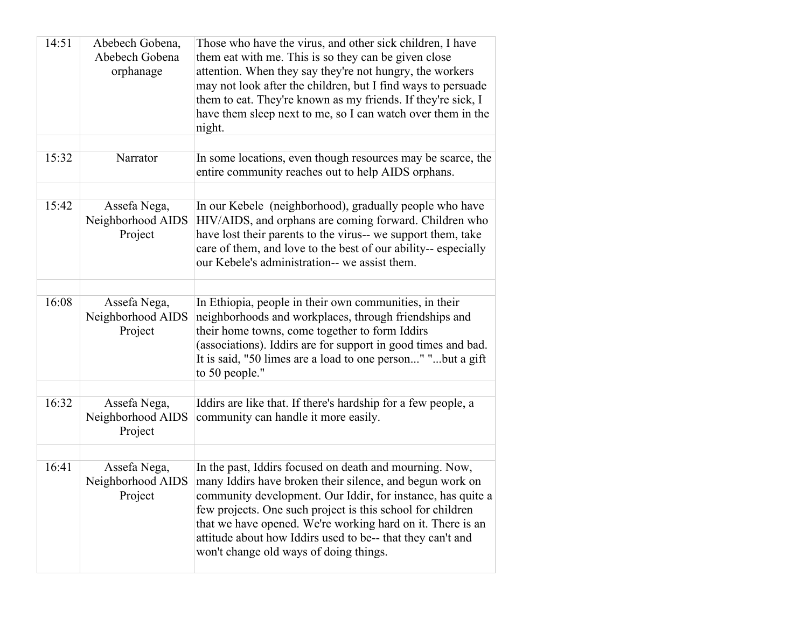| 14:51 | Abebech Gobena,<br>Abebech Gobena<br>orphanage | Those who have the virus, and other sick children, I have<br>them eat with me. This is so they can be given close<br>attention. When they say they're not hungry, the workers<br>may not look after the children, but I find ways to persuade<br>them to eat. They're known as my friends. If they're sick, I<br>have them sleep next to me, so I can watch over them in the<br>night.                                 |
|-------|------------------------------------------------|------------------------------------------------------------------------------------------------------------------------------------------------------------------------------------------------------------------------------------------------------------------------------------------------------------------------------------------------------------------------------------------------------------------------|
|       |                                                |                                                                                                                                                                                                                                                                                                                                                                                                                        |
| 15:32 | Narrator                                       | In some locations, even though resources may be scarce, the<br>entire community reaches out to help AIDS orphans.                                                                                                                                                                                                                                                                                                      |
|       |                                                |                                                                                                                                                                                                                                                                                                                                                                                                                        |
| 15:42 | Assefa Nega,<br>Neighborhood AIDS<br>Project   | In our Kebele (neighborhood), gradually people who have<br>HIV/AIDS, and orphans are coming forward. Children who<br>have lost their parents to the virus-- we support them, take<br>care of them, and love to the best of our ability-- especially<br>our Kebele's administration-- we assist them.                                                                                                                   |
|       |                                                |                                                                                                                                                                                                                                                                                                                                                                                                                        |
| 16:08 | Assefa Nega,<br>Neighborhood AIDS<br>Project   | In Ethiopia, people in their own communities, in their<br>neighborhoods and workplaces, through friendships and<br>their home towns, come together to form Iddirs<br>(associations). Iddirs are for support in good times and bad.<br>It is said, "50 limes are a load to one person" "but a gift<br>to 50 people."                                                                                                    |
|       |                                                |                                                                                                                                                                                                                                                                                                                                                                                                                        |
| 16:32 | Assefa Nega,<br>Neighborhood AIDS<br>Project   | Iddirs are like that. If there's hardship for a few people, a<br>community can handle it more easily.                                                                                                                                                                                                                                                                                                                  |
|       |                                                |                                                                                                                                                                                                                                                                                                                                                                                                                        |
| 16:41 | Assefa Nega,<br>Neighborhood AIDS<br>Project   | In the past, Iddirs focused on death and mourning. Now,<br>many Iddirs have broken their silence, and begun work on<br>community development. Our Iddir, for instance, has quite a<br>few projects. One such project is this school for children<br>that we have opened. We're working hard on it. There is an<br>attitude about how Iddirs used to be-- that they can't and<br>won't change old ways of doing things. |